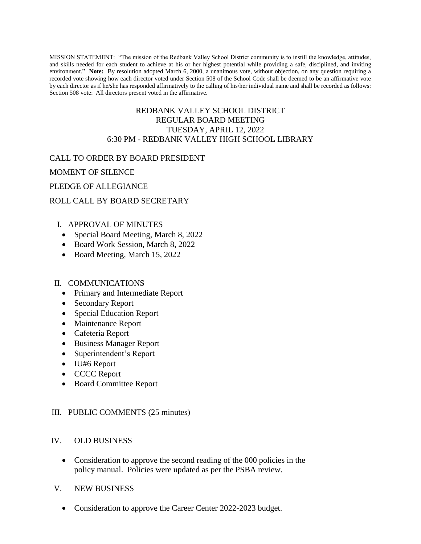MISSION STATEMENT: "The mission of the Redbank Valley School District community is to instill the knowledge, attitudes, and skills needed for each student to achieve at his or her highest potential while providing a safe, disciplined, and inviting environment." **Note:** By resolution adopted March 6, 2000, a unanimous vote, without objection, on any question requiring a recorded vote showing how each director voted under Section 508 of the School Code shall be deemed to be an affirmative vote by each director as if he/she has responded affirmatively to the calling of his/her individual name and shall be recorded as follows: Section 508 vote: All directors present voted in the affirmative.

## REDBANK VALLEY SCHOOL DISTRICT REGULAR BOARD MEETING TUESDAY, APRIL 12, 2022 6:30 PM - REDBANK VALLEY HIGH SCHOOL LIBRARY

## CALL TO ORDER BY BOARD PRESIDENT

MOMENT OF SILENCE

## PLEDGE OF ALLEGIANCE

# ROLL CALL BY BOARD SECRETARY

# I. APPROVAL OF MINUTES

- Special Board Meeting, March 8, 2022
- Board Work Session, March 8, 2022
- Board Meeting, March 15, 2022

#### II. COMMUNICATIONS

- Primary and Intermediate Report
- Secondary Report
- Special Education Report
- Maintenance Report
- Cafeteria Report
- Business Manager Report
- Superintendent's Report
- IU#6 Report
- CCCC Report
- Board Committee Report

#### III. PUBLIC COMMENTS (25 minutes)

#### IV. OLD BUSINESS

- Consideration to approve the second reading of the 000 policies in the policy manual. Policies were updated as per the PSBA review.
- V. NEW BUSINESS
	- Consideration to approve the Career Center 2022-2023 budget.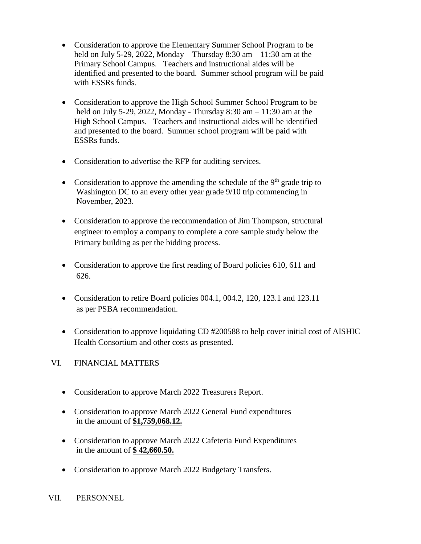- Consideration to approve the Elementary Summer School Program to be held on July 5-29, 2022, Monday – Thursday  $8:30$  am –  $11:30$  am at the Primary School Campus. Teachers and instructional aides will be identified and presented to the board. Summer school program will be paid with ESSRs funds.
- Consideration to approve the High School Summer School Program to be held on July 5-29, 2022, Monday - Thursday 8:30 am – 11:30 am at the High School Campus. Teachers and instructional aides will be identified and presented to the board. Summer school program will be paid with ESSRs funds.
- Consideration to advertise the RFP for auditing services.
- Consideration to approve the amending the schedule of the  $9<sup>th</sup>$  grade trip to Washington DC to an every other year grade 9/10 trip commencing in November, 2023.
- Consideration to approve the recommendation of Jim Thompson, structural engineer to employ a company to complete a core sample study below the Primary building as per the bidding process.
- Consideration to approve the first reading of Board policies 610, 611 and 626.
- Consideration to retire Board policies 004.1, 004.2, 120, 123.1 and 123.11 as per PSBA recommendation.
- Consideration to approve liquidating CD #200588 to help cover initial cost of AISHIC Health Consortium and other costs as presented.
- VI. FINANCIAL MATTERS
	- Consideration to approve March 2022 Treasurers Report.
	- Consideration to approve March 2022 General Fund expenditures in the amount of **\$1,759,068.12.**
	- Consideration to approve March 2022 Cafeteria Fund Expenditures in the amount of **\$ 42,660.50.**
	- Consideration to approve March 2022 Budgetary Transfers.
- VII. PERSONNEL